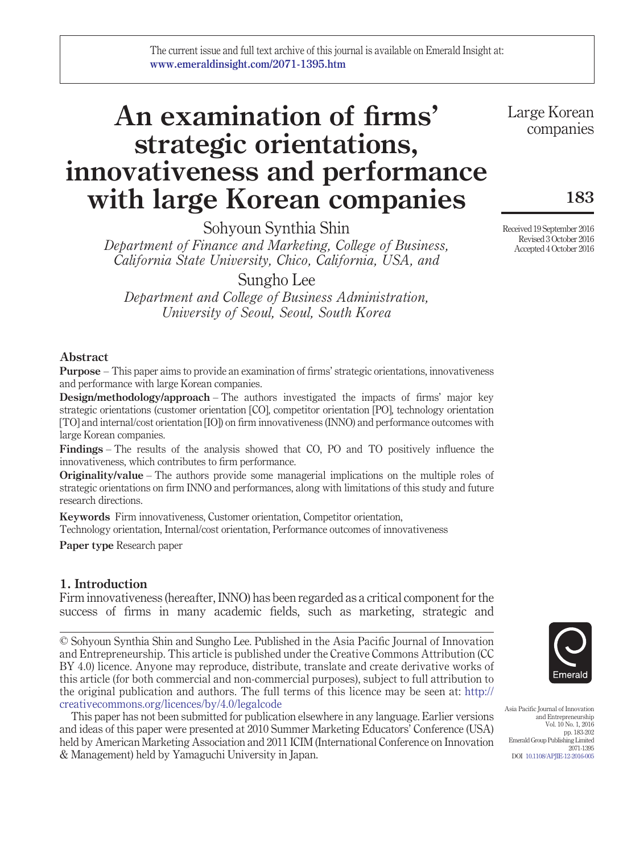# **An examination of firms' strategic orientations, innovativeness and performance with large Korean companies**

Sohyoun Synthia Shin

*Department of Finance and Marketing, College of Business, California State University, Chico, California, USA, and*

Sungho Lee

*Department and College of Business Administration, University of Seoul, Seoul, South Korea*

## **Abstract**

**Purpose** – This paper aims to provide an examination of firms' strategic orientations, innovativeness and performance with large Korean companies.

**Design/methodology/approach** – The authors investigated the impacts of firms' major key strategic orientations (customer orientation [CO], competitor orientation [PO], technology orientation [TO] and internal/cost orientation [IO]) on firm innovativeness (INNO) and performance outcomes with large Korean companies.

**Findings** – The results of the analysis showed that CO, PO and TO positively influence the innovativeness, which contributes to firm performance.

**Originality/value** – The authors provide some managerial implications on the multiple roles of strategic orientations on firm INNO and performances, along with limitations of this study and future research directions.

**Keywords** Firm innovativeness, Customer orientation, Competitor orientation,

Technology orientation, Internal/cost orientation, Performance outcomes of innovativeness

**Paper type** Research paper

# **1. Introduction**

Firm innovativeness (hereafter, INNO) has been regarded as a critical component for the success of firms in many academic fields, such as marketing, strategic and

© Sohyoun Synthia Shin and Sungho Lee. Published in the Asia Pacific Journal of Innovation and Entrepreneurship. This article is published under the Creative Commons Attribution (CC BY 4.0) licence. Anyone may reproduce, distribute, translate and create derivative works of this article (for both commercial and non-commercial purposes), subject to full attribution to the original publication and authors. The full terms of this licence may be seen at: [http://](http://creativecommons.org/licences/by/4.0/legalcode) [creativecommons.org/licences/by/4.0/legalcode](http://creativecommons.org/licences/by/4.0/legalcode)

This paper has not been submitted for publication elsewhere in any language. Earlier versions and ideas of this paper were presented at 2010 Summer Marketing Educators' Conference (USA) held by American Marketing Association and 2011 ICIM (International Conference on Innovation & Management) held by Yamaguchi University in Japan.

Asia Pacific Journal of Innovation and Entrepreneurship

Vol. 10 No. 1, 2016 pp. 183-202 Emerald Group Publishing Limited 2071-1395 DOI [10.1108/APJIE-12-2016-005](http://dx.doi.org/10.1108/APJIE-12-2016-005)

Received 19 September 2016 Revised 3 October 2016 Accepted 4 October 2016

companies

**183**

Large Korean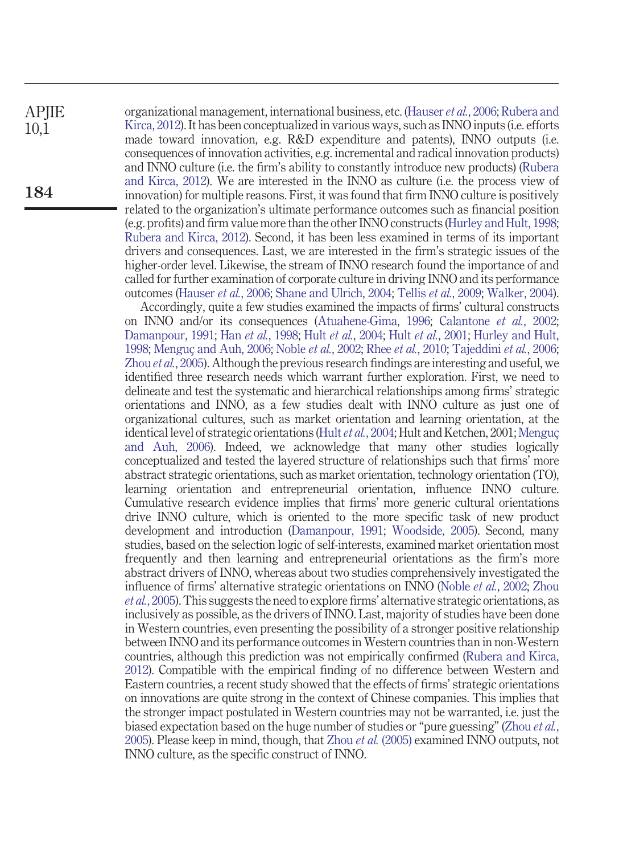**APJIE** 10,1

**184**

organizational management, international business, etc. [\(Hauser](#page-16-0) *et al.*, 2006; [Rubera and](#page-18-0) [Kirca, 2012\)](#page-18-0). It has been conceptualized in various ways, such as INNO inputs (i.e. efforts made toward innovation, e.g. R&D expenditure and patents), INNO outputs (i.e. consequences of innovation activities, e.g. incremental and radical innovation products) and INNO culture (i.e. the firm's ability to constantly introduce new products) [\(Rubera](#page-18-0) [and Kirca, 2012\)](#page-18-0). We are interested in the INNO as culture (i.e. the process view of innovation) for multiple reasons. First, it was found that firm INNO culture is positively related to the organization's ultimate performance outcomes such as financial position (e.g. profits) and firm value more than the other INNO constructs [\(Hurley and Hult, 1998;](#page-17-0) [Rubera and Kirca, 2012\)](#page-18-0). Second, it has been less examined in terms of its important drivers and consequences. Last, we are interested in the firm's strategic issues of the higher-order level. Likewise, the stream of INNO research found the importance of and called for further examination of corporate culture in driving INNO and its performance outcomes [\(Hauser](#page-16-0) *et al.*, 2006; [Shane and Ulrich, 2004;](#page-18-1) Tellis *et al.*[, 2009;](#page-19-0) [Walker, 2004\)](#page-19-1).

Accordingly, quite a few studies examined the impacts of firms' cultural constructs on INNO and/or its consequences [\(Atuahene-Gima, 1996;](#page-15-0) [Calantone](#page-15-1) *et al.*, 2002; [Damanpour, 1991;](#page-16-1) Han *et al.*[, 1998;](#page-16-2) Hult *et al.*[, 2004;](#page-16-3) Hult *et al.*[, 2001;](#page-16-4) [Hurley and Hult,](#page-17-0) [1998;](#page-17-0) [Menguç and Auh, 2006;](#page-17-1) Noble *et al.*[, 2002;](#page-18-2) Rhee *et al.*[, 2010;](#page-18-3) [Tajeddini](#page-19-2) *et al.*, 2006; Zhou *et al.*[, 2005\)](#page-19-3). Although the previous research findings are interesting and useful, we identified three research needs which warrant further exploration. First, we need to delineate and test the systematic and hierarchical relationships among firms' strategic orientations and INNO, as a few studies dealt with INNO culture as just one of organizational cultures, such as market orientation and learning orientation, at the identical level of strategic orientations (Hult *et al.*[, 2004;](#page-16-3) Hult and Ketchen, 2001; [Menguç](#page-17-1) [and Auh, 2006\)](#page-17-1). Indeed, we acknowledge that many other studies logically conceptualized and tested the layered structure of relationships such that firms' more abstract strategic orientations, such as market orientation, technology orientation (TO), learning orientation and entrepreneurial orientation, influence INNO culture. Cumulative research evidence implies that firms' more generic cultural orientations drive INNO culture, which is oriented to the more specific task of new product development and introduction [\(Damanpour, 1991;](#page-16-1) [Woodside, 2005\)](#page-19-4). Second, many studies, based on the selection logic of self-interests, examined market orientation most frequently and then learning and entrepreneurial orientations as the firm's more abstract drivers of INNO, whereas about two studies comprehensively investigated the influence of firms' alternative strategic orientations on INNO [\(Noble](#page-18-2) *et al.*, 2002; [Zhou](#page-19-3) *et al.*[, 2005\)](#page-19-3). This suggests the need to explore firms' alternative strategic orientations, as inclusively as possible, as the drivers of INNO. Last, majority of studies have been done in Western countries, even presenting the possibility of a stronger positive relationship between INNO and its performance outcomes in Western countries than in non-Western countries, although this prediction was not empirically confirmed [\(Rubera and Kirca,](#page-18-0) [2012\)](#page-18-0). Compatible with the empirical finding of no difference between Western and Eastern countries, a recent study showed that the effects of firms' strategic orientations on innovations are quite strong in the context of Chinese companies. This implies that the stronger impact postulated in Western countries may not be warranted, i.e. just the biased expectation based on the huge number of studies or "pure guessing" [\(Zhou](#page-19-3) *et al.*, [2005\)](#page-19-3). Please keep in mind, though, that Zhou *et al.* [\(2005\)](#page-19-3) examined INNO outputs, not INNO culture, as the specific construct of INNO.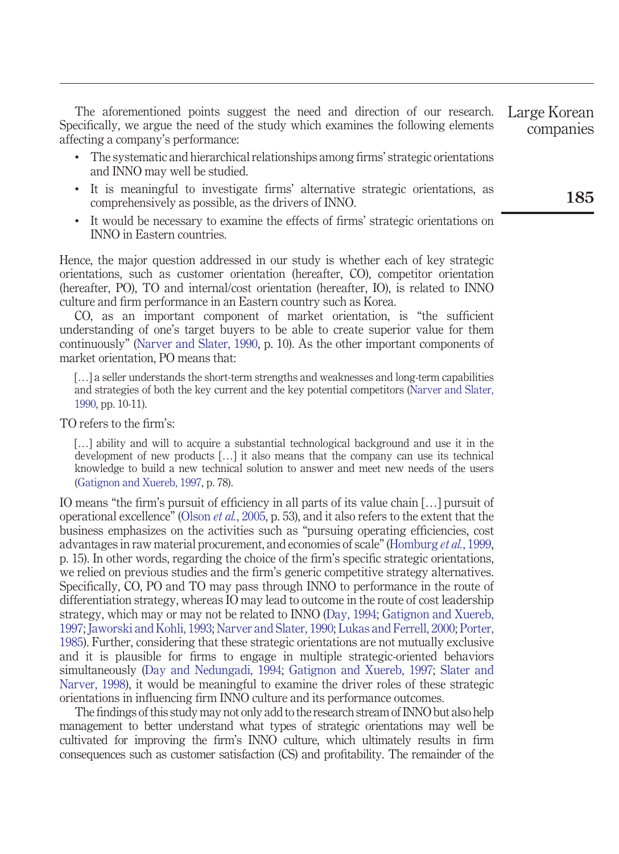The aforementioned points suggest the need and direction of our research. Specifically, we argue the need of the study which examines the following elements affecting a company's performance: Large Korean companies

- The systematic and hierarchical relationships among firms' strategic orientations and INNO may well be studied.
- It is meaningful to investigate firms' alternative strategic orientations, as comprehensively as possible, as the drivers of INNO.
- It would be necessary to examine the effects of firms' strategic orientations on INNO in Eastern countries.

Hence, the major question addressed in our study is whether each of key strategic orientations, such as customer orientation (hereafter, CO), competitor orientation (hereafter, PO), TO and internal/cost orientation (hereafter, IO), is related to INNO culture and firm performance in an Eastern country such as Korea.

CO, as an important component of market orientation, is "the sufficient understanding of one's target buyers to be able to create superior value for them continuously" [\(Narver and Slater, 1990,](#page-18-4) p. 10). As the other important components of market orientation, PO means that:

[...] a seller understands the short-term strengths and weaknesses and long-term capabilities and strategies of both the key current and the key potential competitors [\(Narver and Slater,](#page-18-4) [1990,](#page-18-4) pp. 10-11).

TO refers to the firm's:

[...] ability and will to acquire a substantial technological background and use it in the development of new products […] it also means that the company can use its technical knowledge to build a new technical solution to answer and meet new needs of the users [\(Gatignon and Xuereb, 1997,](#page-16-5) p. 78).

IO means "the firm's pursuit of efficiency in all parts of its value chain […] pursuit of operational excellence" [\(Olson](#page-18-5) *et al.*, 2005, p. 53), and it also refers to the extent that the business emphasizes on the activities such as "pursuing operating efficiencies, cost advantages in raw material procurement, and economies of scale" [\(Homburg](#page-16-6) *et al.*, 1999, p. 15). In other words, regarding the choice of the firm's specific strategic orientations, we relied on previous studies and the firm's generic competitive strategy alternatives. Specifically, CO, PO and TO may pass through INNO to performance in the route of differentiation strategy, whereas IO may lead to outcome in the route of cost leadership strategy, which may or may not be related to INNO [\(Day, 1994;](#page-16-7) [Gatignon and Xuereb,](#page-16-5) [1997;](#page-16-5) [Jaworski and Kohli, 1993;](#page-17-2) [Narver and Slater, 1990;](#page-18-4) [Lukas and Ferrell, 2000;](#page-17-3) [Porter,](#page-18-6) [1985\)](#page-18-6). Further, considering that these strategic orientations are not mutually exclusive and it is plausible for firms to engage in multiple strategic-oriented behaviors simultaneously [\(Day and Nedungadi, 1994;](#page-16-8) [Gatignon and Xuereb, 1997;](#page-16-5) [Slater and](#page-18-7) [Narver, 1998\)](#page-18-7), it would be meaningful to examine the driver roles of these strategic orientations in influencing firm INNO culture and its performance outcomes.

The findings of this study may not only add to the research stream of INNO but also help management to better understand what types of strategic orientations may well be cultivated for improving the firm's INNO culture, which ultimately results in firm consequences such as customer satisfaction (CS) and profitability. The remainder of the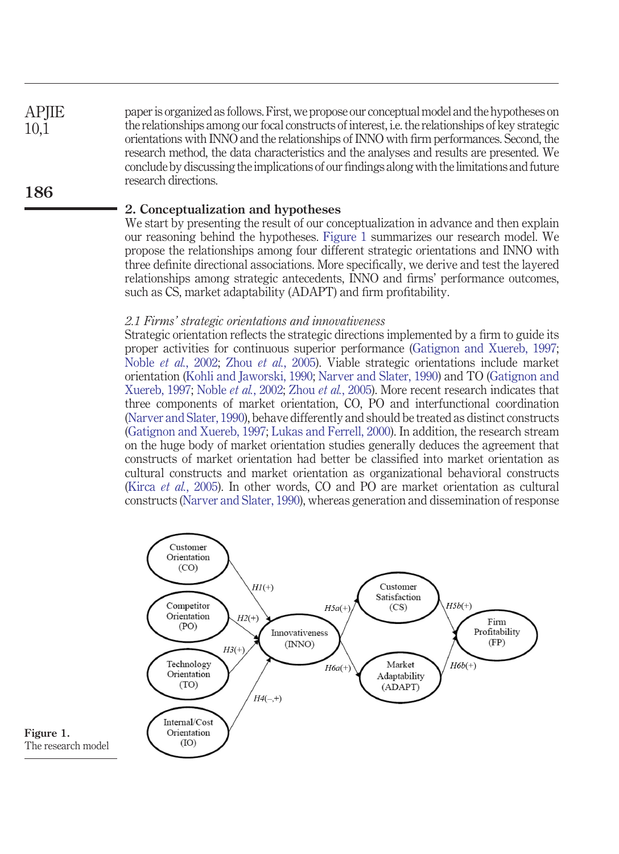paper is organized as follows. First, we propose our conceptual model and the hypotheses on the relationships among our focal constructs of interest, i.e. the relationships of key strategic orientations with INNO and the relationships of INNO with firm performances. Second, the research method, the data characteristics and the analyses and results are presented. We conclude by discussing the implications of our findings along with the limitations and future research directions.

#### **2. Conceptualization and hypotheses**

We start by presenting the result of our conceptualization in advance and then explain our reasoning behind the hypotheses. [Figure 1](#page-3-0) summarizes our research model. We propose the relationships among four different strategic orientations and INNO with three definite directional associations. More specifically, we derive and test the layered relationships among strategic antecedents, INNO and firms' performance outcomes, such as CS, market adaptability (ADAPT) and firm profitability.

#### *2.1 Firms' strategic orientations and innovativeness*

Strategic orientation reflects the strategic directions implemented by a firm to guide its proper activities for continuous superior performance [\(Gatignon and Xuereb, 1997;](#page-16-5) Noble *et al.*[, 2002;](#page-18-2) Zhou *et al.*[, 2005\)](#page-19-3). Viable strategic orientations include market orientation [\(Kohli and Jaworski, 1990;](#page-17-4) [Narver and Slater, 1990\)](#page-18-4) and TO [\(Gatignon and](#page-16-5) [Xuereb, 1997;](#page-16-5) Noble *et al.*[, 2002;](#page-18-2) Zhou *et al.*[, 2005\)](#page-19-3). More recent research indicates that three components of market orientation, CO, PO and interfunctional coordination [\(Narver and Slater, 1990\)](#page-18-4), behave differently and should be treated as distinct constructs [\(Gatignon and Xuereb, 1997;](#page-16-5) [Lukas and Ferrell, 2000\)](#page-17-3). In addition, the research stream on the huge body of market orientation studies generally deduces the agreement that constructs of market orientation had better be classified into market orientation as cultural constructs and market orientation as organizational behavioral constructs (Kirca *et al.*[, 2005\)](#page-17-5). In other words, CO and PO are market orientation as cultural constructs [\(Narver and Slater, 1990\)](#page-18-4), whereas generation and dissemination of response



<span id="page-3-0"></span>

**APJIE**  $10.1$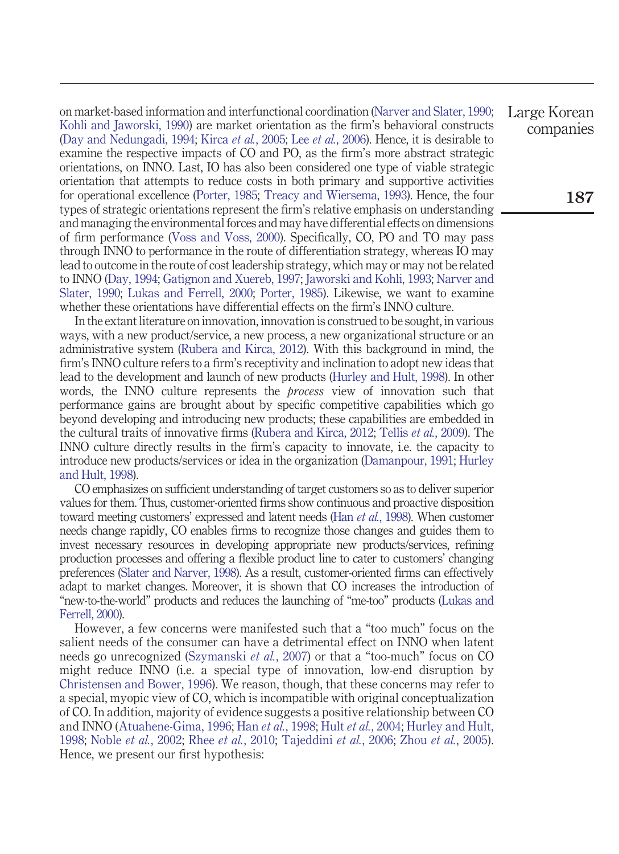on market-based information and interfunctional coordination [\(Narver and Slater, 1990;](#page-18-4) [Kohli and Jaworski, 1990\)](#page-17-4) are market orientation as the firm's behavioral constructs [\(Day and Nedungadi, 1994;](#page-16-8) Kirca *et al.*[, 2005;](#page-17-5) Lee *et al.*[, 2006\)](#page-17-6). Hence, it is desirable to examine the respective impacts of CO and PO, as the firm's more abstract strategic orientations, on INNO. Last, IO has also been considered one type of viable strategic orientation that attempts to reduce costs in both primary and supportive activities for operational excellence [\(Porter, 1985;](#page-18-6) [Treacy and Wiersema, 1993\)](#page-19-5). Hence, the four types of strategic orientations represent the firm's relative emphasis on understanding and managing the environmental forces and may have differential effects on dimensions of firm performance [\(Voss and Voss, 2000\)](#page-19-6). Specifically, CO, PO and TO may pass through INNO to performance in the route of differentiation strategy, whereas IO may lead to outcome in the route of cost leadership strategy, which may or may not be related to INNO [\(Day, 1994;](#page-16-7) [Gatignon and Xuereb, 1997;](#page-16-5) [Jaworski and Kohli, 1993;](#page-17-2) [Narver and](#page-18-4) [Slater, 1990;](#page-18-4) [Lukas and Ferrell, 2000;](#page-17-3) [Porter, 1985\)](#page-18-6). Likewise, we want to examine whether these orientations have differential effects on the firm's INNO culture.

In the extant literature on innovation, innovation is construed to be sought, in various ways, with a new product/service, a new process, a new organizational structure or an administrative system [\(Rubera and Kirca, 2012\)](#page-18-0). With this background in mind, the firm's INNO culture refers to a firm's receptivity and inclination to adopt new ideas that lead to the development and launch of new products [\(Hurley and Hult, 1998\)](#page-17-0). In other words, the INNO culture represents the *process* view of innovation such that performance gains are brought about by specific competitive capabilities which go beyond developing and introducing new products; these capabilities are embedded in the cultural traits of innovative firms [\(Rubera and Kirca, 2012;](#page-18-0) Tellis *et al.*[, 2009\)](#page-19-0). The INNO culture directly results in the firm's capacity to innovate, i.e. the capacity to introduce new products/services or idea in the organization [\(Damanpour, 1991;](#page-16-1) [Hurley](#page-17-0) [and Hult, 1998\)](#page-17-0).

CO emphasizes on sufficient understanding of target customers so as to deliver superior values for them. Thus, customer-oriented firms show continuous and proactive disposition toward meeting customers' expressed and latent needs (Han *et al.*[, 1998\)](#page-16-2). When customer needs change rapidly, CO enables firms to recognize those changes and guides them to invest necessary resources in developing appropriate new products/services, refining production processes and offering a flexible product line to cater to customers' changing preferences [\(Slater and Narver, 1998\)](#page-18-7). As a result, customer-oriented firms can effectively adapt to market changes. Moreover, it is shown that CO increases the introduction of "new-to-the-world" products and reduces the launching of "me-too" products [\(Lukas and](#page-17-3) [Ferrell, 2000\)](#page-17-3).

However, a few concerns were manifested such that a "too much" focus on the salient needs of the consumer can have a detrimental effect on INNO when latent needs go unrecognized [\(Szymanski](#page-18-8) *et al.*, 2007) or that a "too-much" focus on CO might reduce INNO (i.e. a special type of innovation, low-end disruption by [Christensen and Bower, 1996\)](#page-15-2). We reason, though, that these concerns may refer to a special, myopic view of CO, which is incompatible with original conceptualization of CO. In addition, majority of evidence suggests a positive relationship between CO and INNO [\(Atuahene-Gima, 1996;](#page-15-0) Han *et al.*[, 1998;](#page-16-2) Hult *et al.*[, 2004;](#page-16-3) [Hurley and Hult,](#page-17-0) [1998;](#page-17-0) Noble *et al.*[, 2002;](#page-18-2) Rhee *et al.*[, 2010;](#page-18-3) [Tajeddini](#page-19-2) *et al.*, 2006; Zhou *et al.*[, 2005\)](#page-19-3). Hence, we present our first hypothesis:

Large Korean companies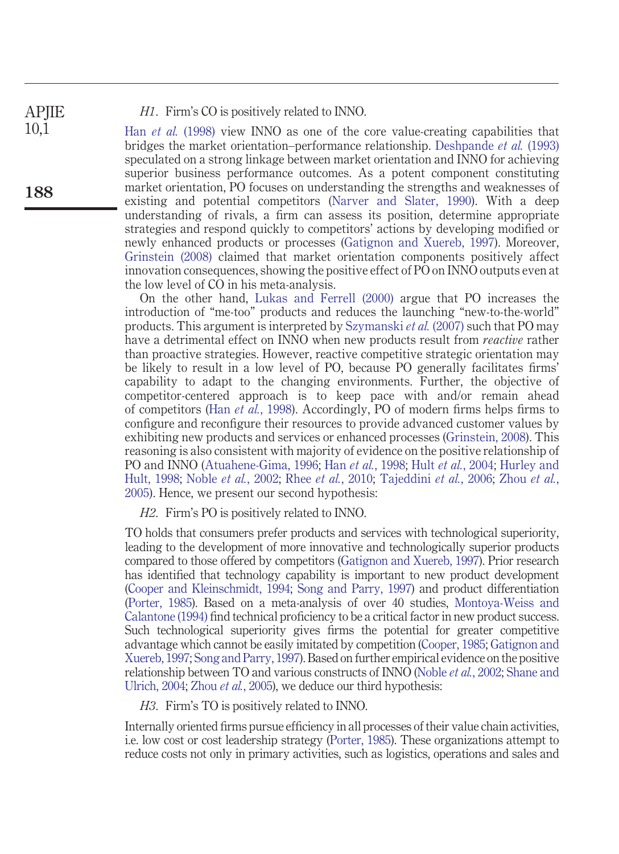*H1*. Firm's CO is positively related to INNO.

Han *et al.* [\(1998\)](#page-16-2) view INNO as one of the core value-creating capabilities that bridges the market orientation–performance relationship. [Deshpande](#page-16-9) *et al.* (1993) speculated on a strong linkage between market orientation and INNO for achieving superior business performance outcomes. As a potent component constituting market orientation, PO focuses on understanding the strengths and weaknesses of existing and potential competitors [\(Narver and Slater, 1990\)](#page-18-4). With a deep understanding of rivals, a firm can assess its position, determine appropriate strategies and respond quickly to competitors' actions by developing modified or newly enhanced products or processes [\(Gatignon and Xuereb, 1997\)](#page-16-5). Moreover, [Grinstein \(2008\)](#page-16-10) claimed that market orientation components positively affect innovation consequences, showing the positive effect of PO on INNO outputs even at the low level of CO in his meta-analysis.

On the other hand, [Lukas and Ferrell \(2000\)](#page-17-3) argue that PO increases the introduction of "me-too" products and reduces the launching "new-to-the-world" products. This argument is interpreted by [Szymanski](#page-18-8) *et al.* (2007) such that PO may have a detrimental effect on INNO when new products result from *reactive* rather than proactive strategies. However, reactive competitive strategic orientation may be likely to result in a low level of PO, because PO generally facilitates firms' capability to adapt to the changing environments. Further, the objective of competitor-centered approach is to keep pace with and/or remain ahead of competitors (Han *et al.*[, 1998\)](#page-16-2). Accordingly, PO of modern firms helps firms to configure and reconfigure their resources to provide advanced customer values by exhibiting new products and services or enhanced processes [\(Grinstein, 2008\)](#page-16-10). This reasoning is also consistent with majority of evidence on the positive relationship of PO and INNO [\(Atuahene-Gima, 1996;](#page-15-0) Han *et al.*[, 1998;](#page-16-2) Hult *et al.*[, 2004;](#page-16-3) [Hurley and](#page-17-0) [Hult, 1998;](#page-17-0) Noble *et al.*[, 2002;](#page-18-2) Rhee *et al.*[, 2010;](#page-18-3) [Tajeddini](#page-19-2) *et al.*, 2006; [Zhou](#page-19-3) *et al.*, [2005\)](#page-19-3). Hence, we present our second hypothesis:

*H2*. Firm's PO is positively related to INNO.

TO holds that consumers prefer products and services with technological superiority, leading to the development of more innovative and technologically superior products compared to those offered by competitors [\(Gatignon and Xuereb, 1997\)](#page-16-5). Prior research has identified that technology capability is important to new product development [\(Cooper and Kleinschmidt, 1994;](#page-16-11) [Song and Parry, 1997\)](#page-18-9) and product differentiation [\(Porter, 1985\)](#page-18-6). Based on a meta-analysis of over 40 studies, [Montoya-Weiss and](#page-17-7) [Calantone \(1994\)](#page-17-7) find technical proficiency to be a critical factor in new product success. Such technological superiority gives firms the potential for greater competitive advantage which cannot be easily imitated by competition [\(Cooper, 1985;](#page-15-3) [Gatignon and](#page-16-5) [Xuereb, 1997;](#page-16-5) [Song and Parry, 1997\)](#page-18-9). Based on further empirical evidence on the positive relationship between TO and various constructs of INNO (Noble *et al.*[, 2002;](#page-18-2) [Shane and](#page-18-1) [Ulrich, 2004;](#page-18-1) Zhou *et al.*[, 2005\)](#page-19-3), we deduce our third hypothesis:

*H3*. Firm's TO is positively related to INNO.

Internally oriented firms pursue efficiency in all processes of their value chain activities, i.e. low cost or cost leadership strategy [\(Porter, 1985\)](#page-18-6). These organizations attempt to reduce costs not only in primary activities, such as logistics, operations and sales and

**188**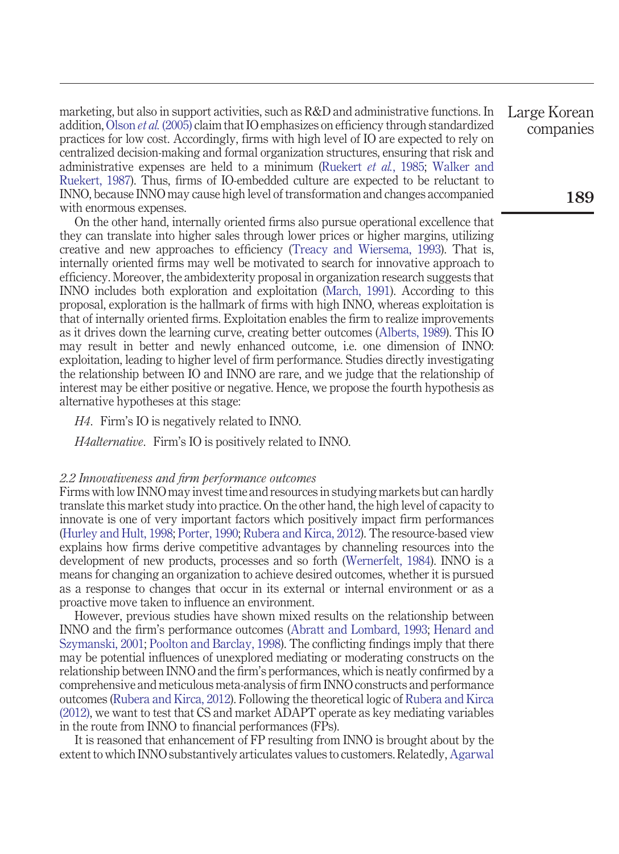marketing, but also in support activities, such as R&D and administrative functions. In addition,[Olson](#page-18-5) *et al.* (2005) claim that IO emphasizes on efficiency through standardized practices for low cost. Accordingly, firms with high level of IO are expected to rely on centralized decision-making and formal organization structures, ensuring that risk and administrative expenses are held to a minimum [\(Ruekert](#page-18-10) *et al.*, 1985; [Walker and](#page-19-7) [Ruekert, 1987\)](#page-19-7). Thus, firms of IO-embedded culture are expected to be reluctant to INNO, because INNO may cause high level of transformation and changes accompanied with enormous expenses.

On the other hand, internally oriented firms also pursue operational excellence that they can translate into higher sales through lower prices or higher margins, utilizing creative and new approaches to efficiency [\(Treacy and Wiersema, 1993\)](#page-19-5). That is, internally oriented firms may well be motivated to search for innovative approach to efficiency. Moreover, the ambidexterity proposal in organization research suggests that INNO includes both exploration and exploitation [\(March, 1991\)](#page-17-8). According to this proposal, exploration is the hallmark of firms with high INNO, whereas exploitation is that of internally oriented firms. Exploitation enables the firm to realize improvements as it drives down the learning curve, creating better outcomes [\(Alberts, 1989\)](#page-15-4). This IO may result in better and newly enhanced outcome, i.e. one dimension of INNO: exploitation, leading to higher level of firm performance. Studies directly investigating the relationship between IO and INNO are rare, and we judge that the relationship of interest may be either positive or negative. Hence, we propose the fourth hypothesis as alternative hypotheses at this stage:

*H4*. Firm's IO is negatively related to INNO.

*H4alternative*. Firm's IO is positively related to INNO.

#### *2.2 Innovativeness and firm performance outcomes*

Firms with low INNO may invest time and resources in studying markets but can hardly translate this market study into practice. On the other hand, the high level of capacity to innovate is one of very important factors which positively impact firm performances [\(Hurley and Hult, 1998;](#page-17-0) [Porter, 1990;](#page-18-11) [Rubera and Kirca, 2012\)](#page-18-0). The resource-based view explains how firms derive competitive advantages by channeling resources into the development of new products, processes and so forth [\(Wernerfelt, 1984\)](#page-19-8). INNO is a means for changing an organization to achieve desired outcomes, whether it is pursued as a response to changes that occur in its external or internal environment or as a proactive move taken to influence an environment.

However, previous studies have shown mixed results on the relationship between INNO and the firm's performance outcomes [\(Abratt and Lombard, 1993;](#page-15-5) [Henard and](#page-16-12) [Szymanski, 2001;](#page-16-12) [Poolton and Barclay, 1998\)](#page-18-12). The conflicting findings imply that there may be potential influences of unexplored mediating or moderating constructs on the relationship between INNO and the firm's performances, which is neatly confirmed by a comprehensive and meticulous meta-analysis of firm INNO constructs and performance outcomes [\(Rubera and Kirca, 2012\)](#page-18-0). Following the theoretical logic of [Rubera and Kirca](#page-18-0) [\(2012\),](#page-18-0) we want to test that CS and market ADAPT operate as key mediating variables in the route from INNO to financial performances (FPs).

It is reasoned that enhancement of FP resulting from INNO is brought about by the extent to which INNO substantively articulates values to customers. Relatedly, [Agarwal](#page-15-6)

Large Korean companies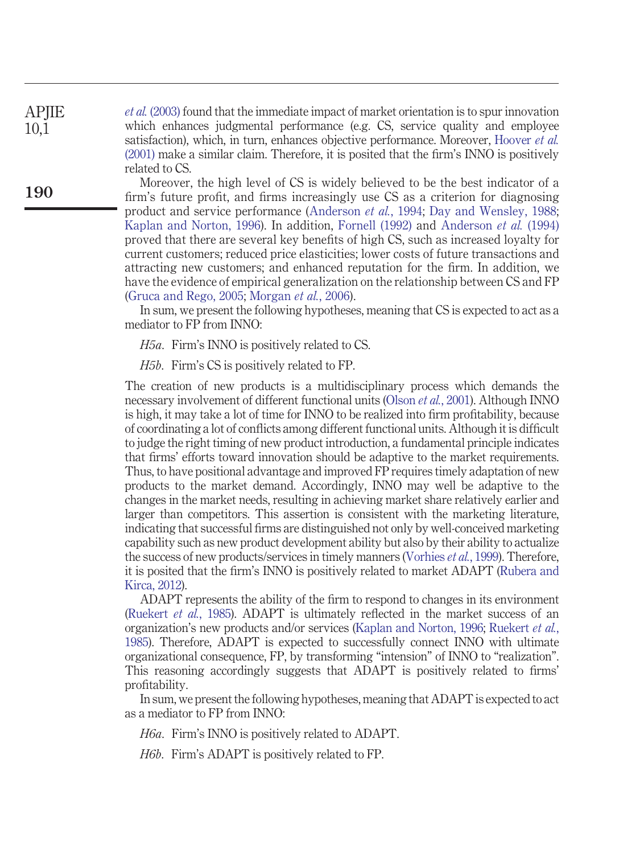*et al.* [\(2003\)](#page-15-6) found that the immediate impact of market orientation is to spur innovation which enhances judgmental performance (e.g. CS, service quality and employee satisfaction), which, in turn, enhances objective performance. Moreover, [Hoover](#page-16-13) *et al.* [\(2001\)](#page-16-13) make a similar claim. Therefore, it is posited that the firm's INNO is positively related to CS.

Moreover, the high level of CS is widely believed to be the best indicator of a firm's future profit, and firms increasingly use CS as a criterion for diagnosing product and service performance [\(Anderson](#page-15-7) *et al.*, 1994; [Day and Wensley, 1988;](#page-16-14) [Kaplan and Norton, 1996\)](#page-17-9). In addition, [Fornell \(1992\)](#page-16-15) and [Anderson](#page-15-7) *et al.* (1994) proved that there are several key benefits of high CS, such as increased loyalty for current customers; reduced price elasticities; lower costs of future transactions and attracting new customers; and enhanced reputation for the firm. In addition, we have the evidence of empirical generalization on the relationship between CS and FP [\(Gruca and Rego, 2005;](#page-16-16) [Morgan](#page-17-10) *et al.*, 2006).

In sum, we present the following hypotheses, meaning that CS is expected to act as a mediator to FP from INNO:

*H5a*. Firm's INNO is positively related to CS.

*H5b*. Firm's CS is positively related to FP.

The creation of new products is a multidisciplinary process which demands the necessary involvement of different functional units [\(Olson](#page-18-13) *et al.*, 2001). Although INNO is high, it may take a lot of time for INNO to be realized into firm profitability, because of coordinating a lot of conflicts among different functional units. Although it is difficult to judge the right timing of new product introduction, a fundamental principle indicates that firms' efforts toward innovation should be adaptive to the market requirements. Thus, to have positional advantage and improved FP requires timely adaptation of new products to the market demand. Accordingly, INNO may well be adaptive to the changes in the market needs, resulting in achieving market share relatively earlier and larger than competitors. This assertion is consistent with the marketing literature, indicating that successful firms are distinguished not only by well-conceived marketing capability such as new product development ability but also by their ability to actualize the success of new products/services in timely manners [\(Vorhies](#page-19-9) *et al.*, 1999). Therefore, it is posited that the firm's INNO is positively related to market ADAPT [\(Rubera and](#page-18-0) [Kirca, 2012\)](#page-18-0).

ADAPT represents the ability of the firm to respond to changes in its environment [\(Ruekert](#page-18-10) *et al.*, 1985). ADAPT is ultimately reflected in the market success of an organization's new products and/or services [\(Kaplan and Norton, 1996;](#page-17-9) [Ruekert](#page-18-10) *et al.*, [1985\)](#page-18-10). Therefore, ADAPT is expected to successfully connect INNO with ultimate organizational consequence, FP, by transforming "intension" of INNO to "realization". This reasoning accordingly suggests that ADAPT is positively related to firms' profitability.

In sum, we present the following hypotheses, meaning that ADAPT is expected to act as a mediator to FP from INNO:

*H6a*. Firm's INNO is positively related to ADAPT.

*H6b*. Firm's ADAPT is positively related to FP.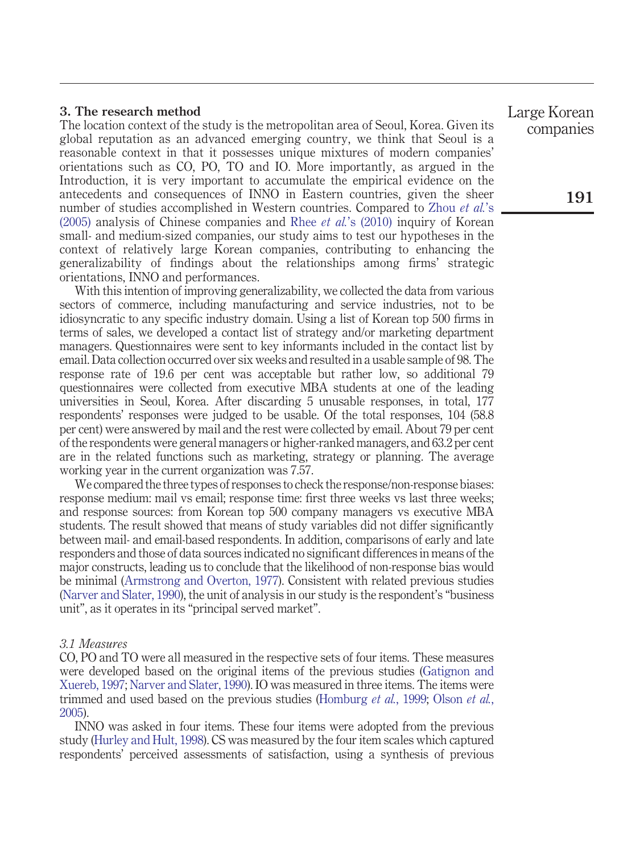#### **3. The research method**

The location context of the study is the metropolitan area of Seoul, Korea. Given its global reputation as an advanced emerging country, we think that Seoul is a reasonable context in that it possesses unique mixtures of modern companies' orientations such as CO, PO, TO and IO. More importantly, as argued in the Introduction, it is very important to accumulate the empirical evidence on the antecedents and consequences of INNO in Eastern countries, given the sheer number of studies accomplished in Western countries. Compared to [Zhou](#page-19-3) *et al.*'s [\(2005\)](#page-19-3) analysis of Chinese companies and Rhee *et al.*['s \(2010\)](#page-18-3) inquiry of Korean small- and medium-sized companies, our study aims to test our hypotheses in the context of relatively large Korean companies, contributing to enhancing the generalizability of findings about the relationships among firms' strategic orientations, INNO and performances.

With this intention of improving generalizability, we collected the data from various sectors of commerce, including manufacturing and service industries, not to be idiosyncratic to any specific industry domain. Using a list of Korean top 500 firms in terms of sales, we developed a contact list of strategy and/or marketing department managers. Questionnaires were sent to key informants included in the contact list by email. Data collection occurred over six weeks and resulted in a usable sample of 98. The response rate of 19.6 per cent was acceptable but rather low, so additional 79 questionnaires were collected from executive MBA students at one of the leading universities in Seoul, Korea. After discarding 5 unusable responses, in total, 177 respondents' responses were judged to be usable. Of the total responses, 104 (58.8 per cent) were answered by mail and the rest were collected by email. About 79 per cent of the respondents were general managers or higher-ranked managers, and 63.2 per cent are in the related functions such as marketing, strategy or planning. The average working year in the current organization was 7.57.

We compared the three types of responses to check the response/non-response biases: response medium: mail vs email; response time: first three weeks vs last three weeks; and response sources: from Korean top 500 company managers vs executive MBA students. The result showed that means of study variables did not differ significantly between mail- and email-based respondents. In addition, comparisons of early and late responders and those of data sources indicated no significant differences in means of the major constructs, leading us to conclude that the likelihood of non-response bias would be minimal [\(Armstrong and Overton, 1977\)](#page-15-8). Consistent with related previous studies [\(Narver and Slater, 1990\)](#page-18-4), the unit of analysis in our study is the respondent's "business unit", as it operates in its "principal served market".

#### *3.1 Measures*

CO, PO and TO were all measured in the respective sets of four items. These measures were developed based on the original items of the previous studies [\(Gatignon and](#page-16-5) [Xuereb, 1997;](#page-16-5) [Narver and Slater, 1990\)](#page-18-4). IO was measured in three items. The items were trimmed and used based on the previous studies [\(Homburg](#page-16-6) *et al.*, 1999; [Olson](#page-18-5) *et al.*, [2005\)](#page-18-5).

INNO was asked in four items. These four items were adopted from the previous study [\(Hurley and Hult, 1998\)](#page-17-0). CS was measured by the four item scales which captured respondents' perceived assessments of satisfaction, using a synthesis of previous

Large Korean companies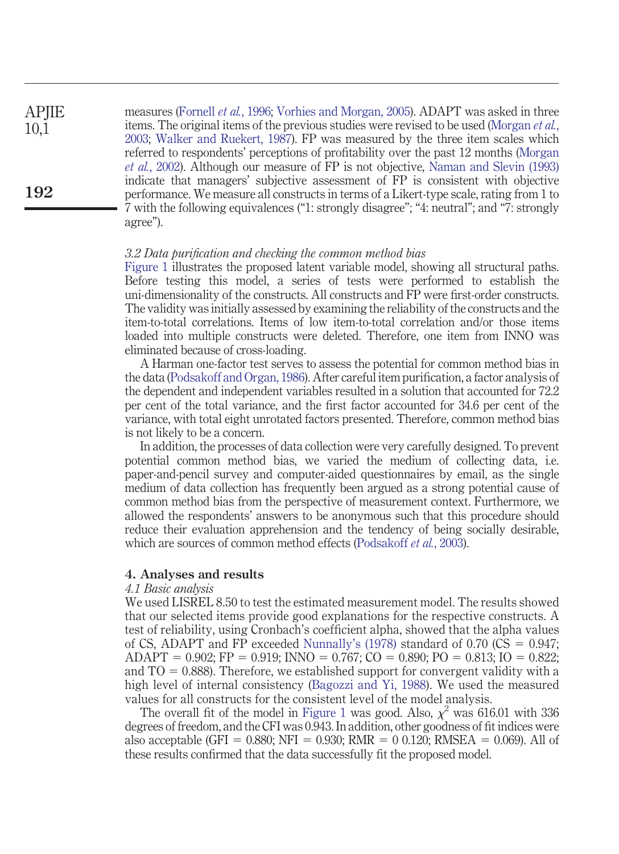measures [\(Fornell](#page-16-17) *et al.*, 1996; [Vorhies and Morgan, 2005\)](#page-19-10). ADAPT was asked in three items. The original items of the previous studies were revised to be used [\(Morgan](#page-17-11) *et al.*, [2003;](#page-17-11) [Walker and Ruekert, 1987\)](#page-19-7). FP was measured by the three item scales which referred to respondents' perceptions of profitability over the past 12 months [\(Morgan](#page-17-12) *et al.*[, 2002\)](#page-17-12). Although our measure of FP is not objective, [Naman and Slevin \(1993\)](#page-17-13) indicate that managers' subjective assessment of FP is consistent with objective performance. We measure all constructs in terms of a Likert-type scale, rating from 1 to 7 with the following equivalences ("1: strongly disagree"; "4: neutral"; and "7: strongly agree"). **APJIE** 10,1 **192**

#### *3.2 Data purification and checking the common method bias*

[Figure 1](#page-3-0) illustrates the proposed latent variable model, showing all structural paths. Before testing this model, a series of tests were performed to establish the uni-dimensionality of the constructs. All constructs and FP were first-order constructs. The validity was initially assessed by examining the reliability of the constructs and the item-to-total correlations. Items of low item-to-total correlation and/or those items loaded into multiple constructs were deleted. Therefore, one item from INNO was eliminated because of cross-loading.

A Harman one-factor test serves to assess the potential for common method bias in the data [\(Podsakoff and Organ, 1986\)](#page-18-14). After careful item purification, a factor analysis of the dependent and independent variables resulted in a solution that accounted for 72.2 per cent of the total variance, and the first factor accounted for 34.6 per cent of the variance, with total eight unrotated factors presented. Therefore, common method bias is not likely to be a concern.

In addition, the processes of data collection were very carefully designed. To prevent potential common method bias, we varied the medium of collecting data, i.e. paper-and-pencil survey and computer-aided questionnaires by email, as the single medium of data collection has frequently been argued as a strong potential cause of common method bias from the perspective of measurement context. Furthermore, we allowed the respondents' answers to be anonymous such that this procedure should reduce their evaluation apprehension and the tendency of being socially desirable, which are sources of common method effects [\(Podsakoff](#page-18-15) *et al.*, 2003).

### **4. Analyses and results**

#### *4.1 Basic analysis*

We used LISREL 8.50 to test the estimated measurement model. The results showed that our selected items provide good explanations for the respective constructs. A test of reliability, using Cronbach's coefficient alpha, showed that the alpha values of CS, ADAPT and FP exceeded Nunnally's  $(1978)$  standard of 0.70 (CS = 0.947;  $ADAPT = 0.902; FP = 0.919; INNO = 0.767; CO = 0.890; PO = 0.813; IO = 0.822;$ and  $TO = 0.888$ ). Therefore, we established support for convergent validity with a high level of internal consistency [\(Bagozzi and Yi, 1988\)](#page-15-9). We used the measured values for all constructs for the consistent level of the model analysis.

The overall fit of the model in [Figure 1](#page-3-0) was good. Also,  $\chi^2$  was 616.01 with 336 degrees of freedom, and the CFI was 0.943. In addition, other goodness of fit indices were also acceptable (GFI = 0.880; NFI = 0.930; RMR = 0 0.120; RMSEA = 0.069). All of these results confirmed that the data successfully fit the proposed model.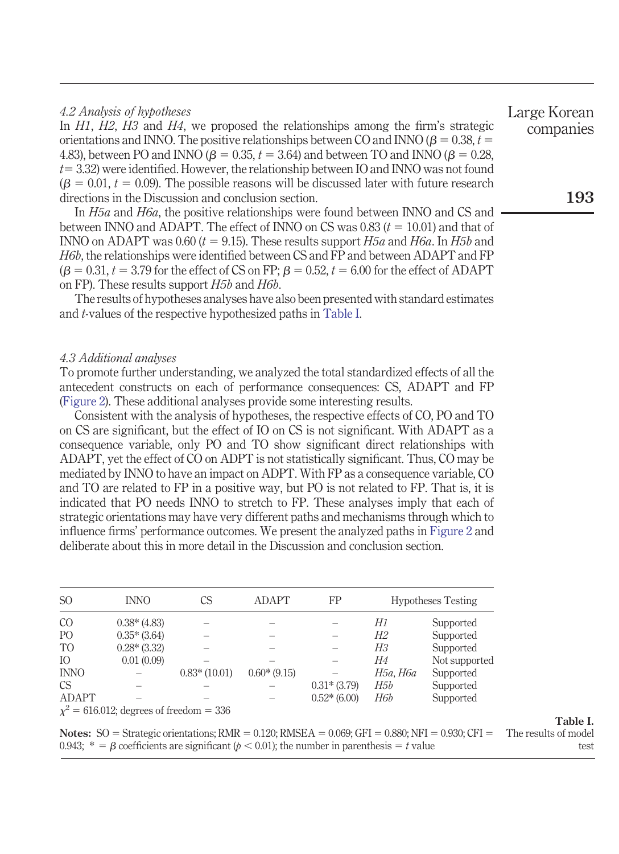#### *4.2 Analysis of hypotheses* In *H1*, *H2*, *H3* and *H4*, we proposed the relationships among the firm's strategic orientations and INNO. The positive relationships between CO and INNO ( $\beta$  = 0.38,  $t$  = 4.83), between PO and INNO ( $\beta = 0.35, t = 3.64$ ) and between TO and INNO ( $\beta = 0.28$ ,  $t$   $=$  3.32) were identified. However, the relationship between IO and INNO was not found  $(\beta = 0.01, t = 0.09)$ . The possible reasons will be discussed later with future research directions in the Discussion and conclusion section. In *H5a* and *H6a*, the positive relationships were found between INNO and CS and between INNO and ADAPT. The effect of INNO on CS was  $0.83(t = 10.01)$  and that of INNO on ADAPT was 0.60 ( $t = 9.15$ ). These results support  $H5a$  and  $H6a$ . In  $H5b$  and *H6b*, the relationships were identified between CS and FP and between ADAPT and FP **193** Large Korean companies

The results of hypotheses analyses have also been presented with standard estimates and *t*-values of the respective hypothesized paths in [Table I.](#page-10-0)

 $(\beta = 0.31, t = 3.79$  for the effect of CS on FP;  $\beta = 0.52, t = 6.00$  for the effect of ADAPT

#### *4.3 Additional analyses*

on FP). These results support *H5b* and *H6b*.

To promote further understanding, we analyzed the total standardized effects of all the antecedent constructs on each of performance consequences: CS, ADAPT and FP [\(Figure 2\)](#page-11-0). These additional analyses provide some interesting results.

Consistent with the analysis of hypotheses, the respective effects of CO, PO and TO on CS are significant, but the effect of IO on CS is not significant. With ADAPT as a consequence variable, only PO and TO show significant direct relationships with ADAPT, yet the effect of CO on ADPT is not statistically significant. Thus, CO may be mediated by INNO to have an impact on ADPT. With FP as a consequence variable, CO and TO are related to FP in a positive way, but PO is not related to FP. That is, it is indicated that PO needs INNO to stretch to FP. These analyses imply that each of strategic orientations may have very different paths and mechanisms through which to influence firms' performance outcomes. We present the analyzed paths in [Figure 2](#page-11-0) and deliberate about this in more detail in the Discussion and conclusion section.

<span id="page-10-0"></span>

| <sub>SO</sub>  | <b>INNO</b>                                  | CS             | ADAPT         | FP            |          | <b>Hypotheses Testing</b> |
|----------------|----------------------------------------------|----------------|---------------|---------------|----------|---------------------------|
| CO             | $0.38*(4.83)$                                |                |               |               | Н1       | Supported                 |
| P <sub>O</sub> | $0.35*(3.64)$                                |                |               |               | Н2       | Supported                 |
| T <sub>O</sub> | $0.28*(3.32)$                                |                |               |               | Н3       | Supported                 |
| IO             | 0.01(0.09)                                   |                |               |               | H4       | Not supported             |
| <b>INNO</b>    |                                              | $0.83*(10.01)$ | $0.60*(9.15)$ |               | Н5а, Н6а | Supported                 |
| <sub>CS</sub>  |                                              |                |               | $0.31*(3.79)$ | H5b      | Supported                 |
| <b>ADAPT</b>   |                                              |                |               | $0.52*(6.00)$ | H6b      | Supported                 |
|                | $\chi^2$ = 616.012; degrees of freedom = 336 |                |               |               |          |                           |

The results of model test

**Notes:** SO = Strategic orientations; RMR =  $0.120$ ; RMSEA =  $0.069$ ; GFI =  $0.880$ ; NFI =  $0.930$ ; CFI = 0.943;  $* = \beta$  coefficients are significant ( $\beta$  < 0.01); the number in parenthesis = t value

# **Table I.**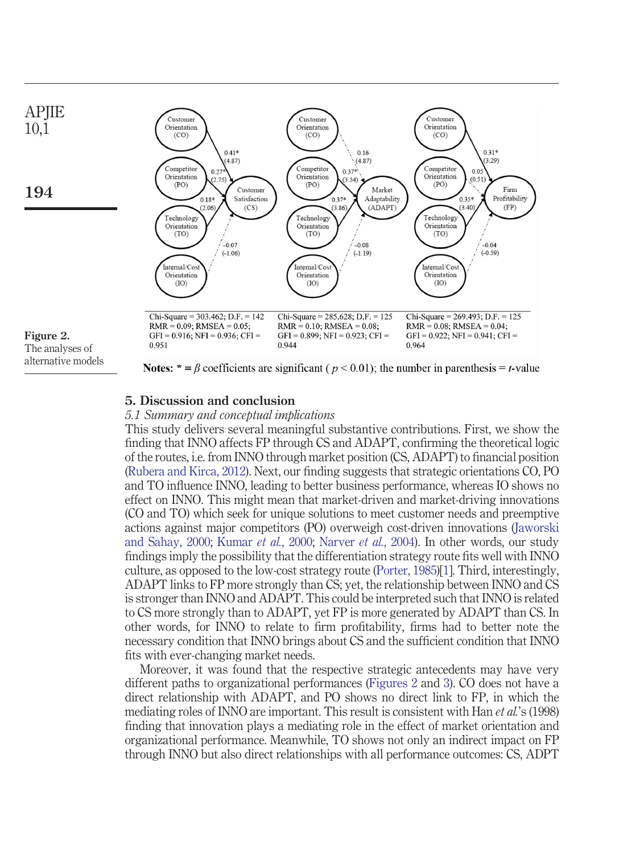

<span id="page-11-0"></span>alternative models

**Notes:**  $* = \beta$  coefficients are significant ( $p < 0.01$ ); the number in parenthesis = *t*-value

# **5. Discussion and conclusion**

# *5.1 Summary and conceptual implications*

This study delivers several meaningful substantive contributions. First, we show the finding that INNO affects FP through CS and ADAPT, confirming the theoretical logic of the routes, i.e. from INNO through market position (CS, ADAPT) to financial position [\(Rubera and Kirca, 2012\)](#page-18-0). Next, our finding suggests that strategic orientations CO, PO and TO influence INNO, leading to better business performance, whereas IO shows no effect on INNO. This might mean that market-driven and market-driving innovations (CO and TO) which seek for unique solutions to meet customer needs and preemptive actions against major competitors (PO) overweigh cost-driven innovations [\(Jaworski](#page-17-14) [and Sahay, 2000;](#page-17-14) [Kumar](#page-17-15) *et al.*, 2000; [Narver](#page-18-17) *et al.*, 2004). In other words, our study findings imply the possibility that the differentiation strategy route fits well with INNO culture, as opposed to the low-cost strategy route [\(Porter, 1985\)](#page-18-6)[\[1\]](#page-15-10). Third, interestingly, ADAPT links to FP more strongly than CS; yet, the relationship between INNO and CS is stronger than INNO and ADAPT. This could be interpreted such that INNO is related to CS more strongly than to ADAPT, yet FP is more generated by ADAPT than CS. In other words, for INNO to relate to firm profitability, firms had to better note the necessary condition that INNO brings about CS and the sufficient condition that INNO fits with ever-changing market needs.

Moreover, it was found that the respective strategic antecedents may have very different paths to organizational performances [\(Figures 2](#page-11-0) and [3\)](#page-12-0). CO does not have a direct relationship with ADAPT, and PO shows no direct link to FP, in which the mediating roles of INNO are important. This result is consistent with Han *et al.*'s (1998) finding that innovation plays a mediating role in the effect of market orientation and organizational performance. Meanwhile, TO shows not only an indirect impact on FP through INNO but also direct relationships with all performance outcomes: CS, ADPT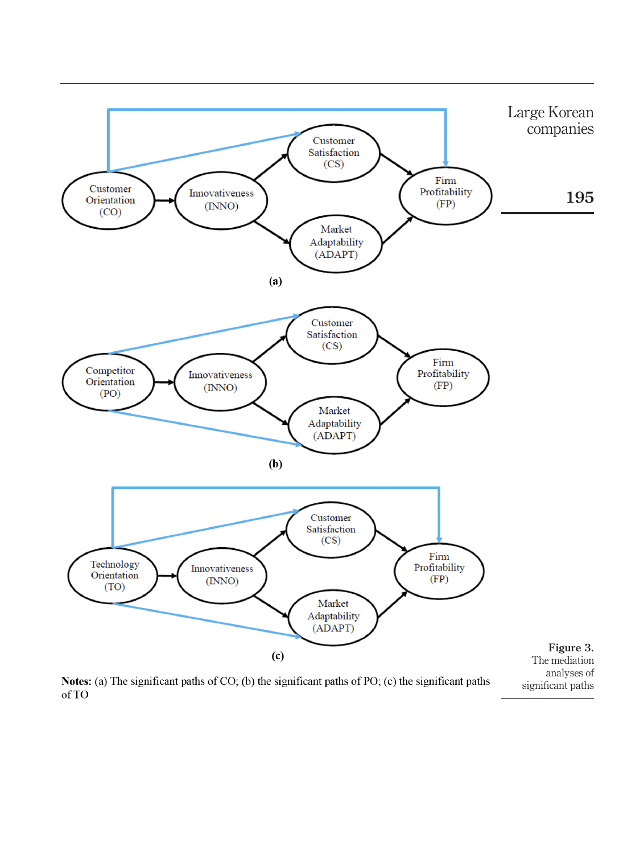

Notes: (a) The significant paths of CO; (b) the significant paths of PO; (c) the significant paths of TO

<span id="page-12-0"></span>analyses of significant paths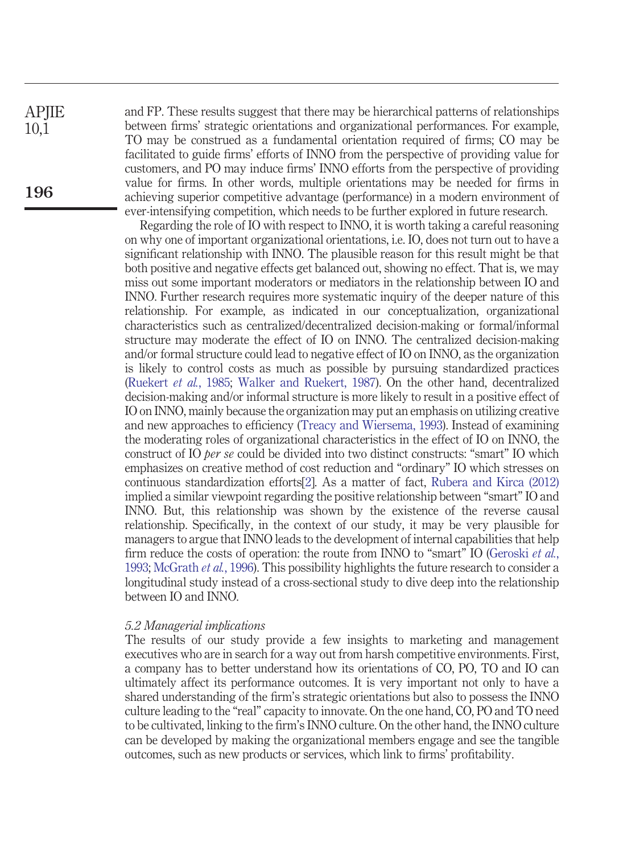and FP. These results suggest that there may be hierarchical patterns of relationships between firms' strategic orientations and organizational performances. For example, TO may be construed as a fundamental orientation required of firms; CO may be facilitated to guide firms' efforts of INNO from the perspective of providing value for customers, and PO may induce firms' INNO efforts from the perspective of providing value for firms. In other words, multiple orientations may be needed for firms in achieving superior competitive advantage (performance) in a modern environment of ever-intensifying competition, which needs to be further explored in future research.

Regarding the role of IO with respect to INNO, it is worth taking a careful reasoning on why one of important organizational orientations, i.e. IO, does not turn out to have a significant relationship with INNO. The plausible reason for this result might be that both positive and negative effects get balanced out, showing no effect. That is, we may miss out some important moderators or mediators in the relationship between IO and INNO. Further research requires more systematic inquiry of the deeper nature of this relationship. For example, as indicated in our conceptualization, organizational characteristics such as centralized/decentralized decision-making or formal/informal structure may moderate the effect of IO on INNO. The centralized decision-making and/or formal structure could lead to negative effect of IO on INNO, as the organization is likely to control costs as much as possible by pursuing standardized practices [\(Ruekert](#page-18-10) *et al.*, 1985; [Walker and Ruekert, 1987\)](#page-19-7). On the other hand, decentralized decision-making and/or informal structure is more likely to result in a positive effect of IO on INNO, mainly because the organization may put an emphasis on utilizing creative and new approaches to efficiency [\(Treacy and Wiersema, 1993\)](#page-19-5). Instead of examining the moderating roles of organizational characteristics in the effect of IO on INNO, the construct of IO *per se* could be divided into two distinct constructs: "smart" IO which emphasizes on creative method of cost reduction and "ordinary" IO which stresses on continuous standardization efforts[\[2\]](#page-15-11). As a matter of fact, [Rubera and Kirca \(2012\)](#page-18-0) implied a similar viewpoint regarding the positive relationship between "smart" IO and INNO. But, this relationship was shown by the existence of the reverse causal relationship. Specifically, in the context of our study, it may be very plausible for managers to argue that INNO leads to the development of internal capabilities that help firm reduce the costs of operation: the route from INNO to "smart" IO [\(Geroski](#page-16-18) *et al.*, [1993;](#page-16-18) [McGrath](#page-17-16) *et al.*, 1996). This possibility highlights the future research to consider a longitudinal study instead of a cross-sectional study to dive deep into the relationship between IO and INNO.

#### *5.2 Managerial implications*

The results of our study provide a few insights to marketing and management executives who are in search for a way out from harsh competitive environments. First, a company has to better understand how its orientations of CO, PO, TO and IO can ultimately affect its performance outcomes. It is very important not only to have a shared understanding of the firm's strategic orientations but also to possess the INNO culture leading to the "real" capacity to innovate. On the one hand, CO, PO and TO need to be cultivated, linking to the firm's INNO culture. On the other hand, the INNO culture can be developed by making the organizational members engage and see the tangible outcomes, such as new products or services, which link to firms' profitability.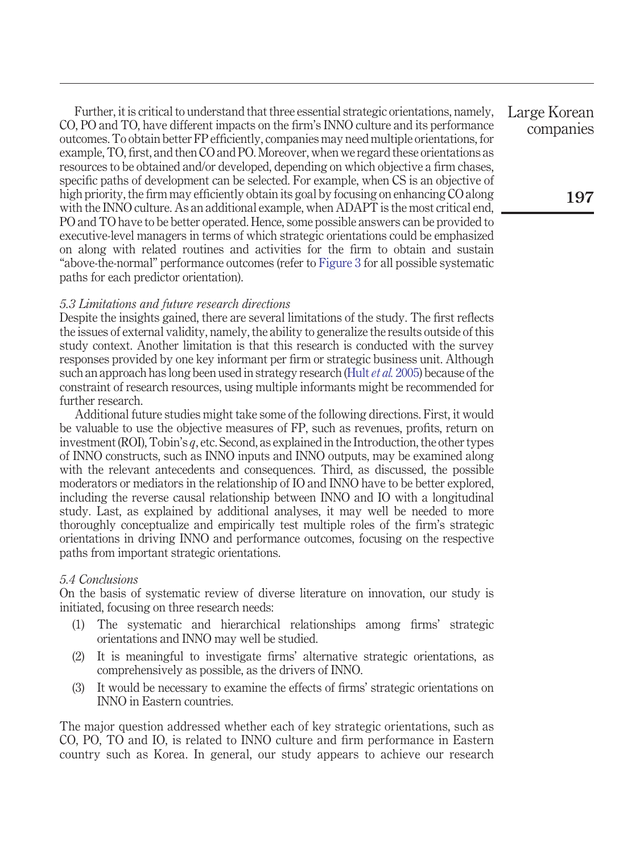Further, it is critical to understand that three essential strategic orientations, namely, CO, PO and TO, have different impacts on the firm's INNO culture and its performance outcomes. To obtain better FP efficiently, companies may need multiple orientations, for example, TO, first, and then CO and PO. Moreover, when we regard these orientations as resources to be obtained and/or developed, depending on which objective a firm chases, specific paths of development can be selected. For example, when CS is an objective of high priority, the firm may efficiently obtain its goal by focusing on enhancing CO along with the INNO culture. As an additional example, when ADAPT is the most critical end, PO and TO have to be better operated. Hence, some possible answers can be provided to executive-level managers in terms of which strategic orientations could be emphasized on along with related routines and activities for the firm to obtain and sustain "above-the-normal" performance outcomes (refer to [Figure 3](#page-12-0) for all possible systematic paths for each predictor orientation).

## *5.3 Limitations and future research directions*

Despite the insights gained, there are several limitations of the study. The first reflects the issues of external validity, namely, the ability to generalize the results outside of this study context. Another limitation is that this research is conducted with the survey responses provided by one key informant per firm or strategic business unit. Although such an approach has long been used in strategy research (Hult *et al.* [2005\)](#page-17-17) because of the constraint of research resources, using multiple informants might be recommended for further research.

Additional future studies might take some of the following directions. First, it would be valuable to use the objective measures of FP, such as revenues, profits, return on investment (ROI), Tobin's *q*, etc. Second, as explained in the Introduction, the other types of INNO constructs, such as INNO inputs and INNO outputs, may be examined along with the relevant antecedents and consequences. Third, as discussed, the possible moderators or mediators in the relationship of IO and INNO have to be better explored, including the reverse causal relationship between INNO and IO with a longitudinal study. Last, as explained by additional analyses, it may well be needed to more thoroughly conceptualize and empirically test multiple roles of the firm's strategic orientations in driving INNO and performance outcomes, focusing on the respective paths from important strategic orientations.

#### *5.4 Conclusions*

On the basis of systematic review of diverse literature on innovation, our study is initiated, focusing on three research needs:

- (1) The systematic and hierarchical relationships among firms' strategic orientations and INNO may well be studied.
- (2) It is meaningful to investigate firms' alternative strategic orientations, as comprehensively as possible, as the drivers of INNO.
- (3) It would be necessary to examine the effects of firms' strategic orientations on INNO in Eastern countries.

The major question addressed whether each of key strategic orientations, such as CO, PO, TO and IO, is related to INNO culture and firm performance in Eastern country such as Korea. In general, our study appears to achieve our research Large Korean companies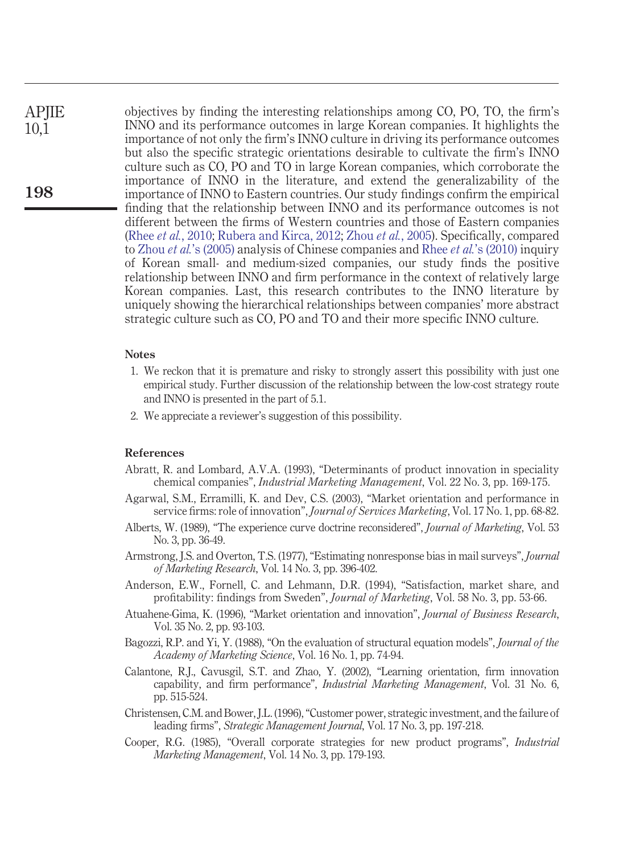objectives by finding the interesting relationships among CO, PO, TO, the firm's INNO and its performance outcomes in large Korean companies. It highlights the importance of not only the firm's INNO culture in driving its performance outcomes but also the specific strategic orientations desirable to cultivate the firm's INNO culture such as CO, PO and TO in large Korean companies, which corroborate the importance of INNO in the literature, and extend the generalizability of the importance of INNO to Eastern countries. Our study findings confirm the empirical finding that the relationship between INNO and its performance outcomes is not different between the firms of Western countries and those of Eastern companies (Rhee *et al.*[, 2010;](#page-18-3) [Rubera and Kirca, 2012;](#page-18-0) Zhou *et al.*[, 2005\)](#page-19-3). Specifically, compared to Zhou *et al.*['s \(2005\)](#page-19-3) analysis of Chinese companies and Rhee *et al.*['s \(2010\)](#page-18-3) inquiry of Korean small- and medium-sized companies, our study finds the positive relationship between INNO and firm performance in the context of relatively large Korean companies. Last, this research contributes to the INNO literature by uniquely showing the hierarchical relationships between companies' more abstract strategic culture such as CO, PO and TO and their more specific INNO culture.

#### <span id="page-15-10"></span>**Notes**

- 1. We reckon that it is premature and risky to strongly assert this possibility with just one empirical study. Further discussion of the relationship between the low-cost strategy route and INNO is presented in the part of 5.1.
- <span id="page-15-11"></span>2. We appreciate a reviewer's suggestion of this possibility.

#### **References**

- <span id="page-15-5"></span>Abratt, R. and Lombard, A.V.A. (1993), "Determinants of product innovation in speciality chemical companies", *Industrial Marketing Management*, Vol. 22 No. 3, pp. 169-175.
- <span id="page-15-6"></span>Agarwal, S.M., Erramilli, K. and Dev, C.S. (2003), "Market orientation and performance in service firms: role of innovation", *Journal of Services Marketing*, Vol. 17 No. 1, pp. 68-82.
- <span id="page-15-4"></span>Alberts, W. (1989), "The experience curve doctrine reconsidered", *Journal of Marketing*, Vol. 53 No. 3, pp. 36-49.
- <span id="page-15-8"></span>Armstrong, J.S. and Overton, T.S. (1977), "Estimating nonresponse bias in mail surveys", *Journal of Marketing Research*, Vol. 14 No. 3, pp. 396-402.
- <span id="page-15-7"></span>Anderson, E.W., Fornell, C. and Lehmann, D.R. (1994), "Satisfaction, market share, and profitability: findings from Sweden", *Journal of Marketing*, Vol. 58 No. 3, pp. 53-66.
- <span id="page-15-0"></span>Atuahene-Gima, K. (1996), "Market orientation and innovation", *Journal of Business Research*, Vol. 35 No. 2, pp. 93-103.
- <span id="page-15-9"></span>Bagozzi, R.P. and Yi, Y. (1988), "On the evaluation of structural equation models", *Journal of the Academy of Marketing Science*, Vol. 16 No. 1, pp. 74-94.
- <span id="page-15-1"></span>Calantone, R.J., Cavusgil, S.T. and Zhao, Y. (2002), "Learning orientation, firm innovation capability, and firm performance", *Industrial Marketing Management*, Vol. 31 No. 6, pp. 515-524.
- <span id="page-15-2"></span>Christensen, C.M. and Bower, J.L. (1996), "Customer power, strategic investment, and the failure of leading firms", *Strategic Management Journal*, Vol. 17 No. 3, pp. 197-218.
- <span id="page-15-3"></span>Cooper, R.G. (1985), "Overall corporate strategies for new product programs", *Industrial Marketing Management*, Vol. 14 No. 3, pp. 179-193.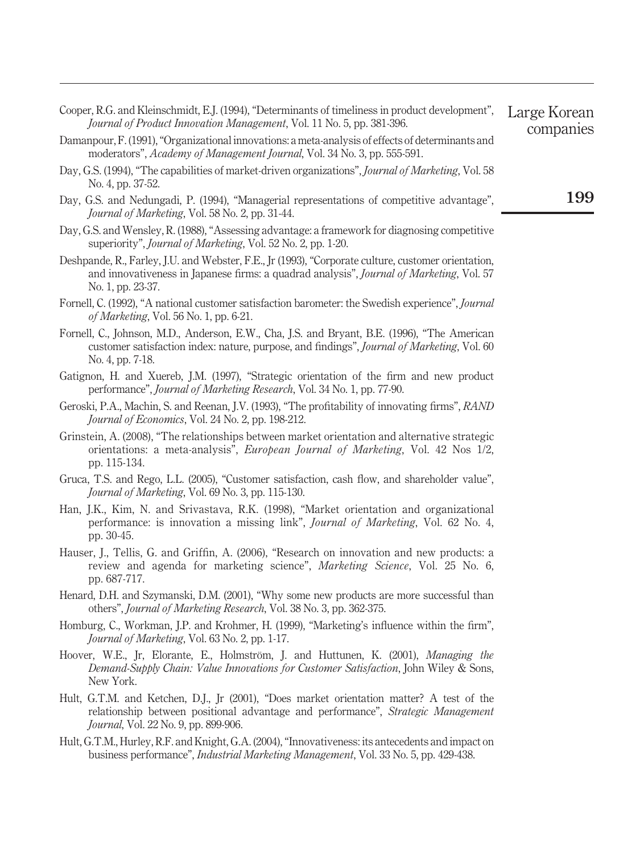<span id="page-16-18"></span><span id="page-16-17"></span><span id="page-16-16"></span><span id="page-16-15"></span><span id="page-16-14"></span><span id="page-16-13"></span><span id="page-16-12"></span><span id="page-16-11"></span><span id="page-16-10"></span><span id="page-16-9"></span><span id="page-16-8"></span><span id="page-16-7"></span><span id="page-16-6"></span><span id="page-16-5"></span><span id="page-16-4"></span><span id="page-16-3"></span><span id="page-16-2"></span><span id="page-16-1"></span><span id="page-16-0"></span>

| Cooper, R.G. and Kleinschmidt, E.J. (1994), "Determinants of timeliness in product development",<br>Journal of Product Innovation Management, Vol. 11 No. 5, pp. 381-396.                                             | Large Korean<br>companies |
|-----------------------------------------------------------------------------------------------------------------------------------------------------------------------------------------------------------------------|---------------------------|
| Damanpour, F. (1991), "Organizational innovations: a meta-analysis of effects of determinants and<br>moderators", Academy of Management Journal, Vol. 34 No. 3, pp. 555-591.                                          |                           |
| Day, G.S. (1994), "The capabilities of market-driven organizations", Journal of Marketing, Vol. 58<br>No. 4, pp. 37-52.                                                                                               |                           |
| Day, G.S. and Nedungadi, P. (1994), "Managerial representations of competitive advantage",<br><i>Journal of Marketing</i> , Vol. 58 No. 2, pp. 31-44.                                                                 | 199                       |
| Day, G.S. and Wensley, R. (1988), "Assessing advantage: a framework for diagnosing competitive<br>superiority", <i>Journal of Marketing</i> , Vol. 52 No. 2, pp. 1-20.                                                |                           |
| Deshpande, R., Farley, J.U. and Webster, F.E., Jr (1993), "Corporate culture, customer orientation,<br>and innovativeness in Japanese firms: a quadrad analysis", Journal of Marketing, Vol. 57<br>No. 1, pp. 23-37.  |                           |
| Fornell, C. (1992), "A national customer satisfaction barometer: the Swedish experience", Journal<br>of Marketing, Vol. 56 No. 1, pp. 6-21.                                                                           |                           |
| Fornell, C., Johnson, M.D., Anderson, E.W., Cha, J.S. and Bryant, B.E. (1996), "The American<br>customer satisfaction index: nature, purpose, and findings", Journal of Marketing, Vol. 60<br>No. 4, pp. 7-18.        |                           |
| Gatignon, H. and Xuereb, J.M. (1997), "Strategic orientation of the firm and new product<br>performance", Journal of Marketing Research, Vol. 34 No. 1, pp. 77-90.                                                    |                           |
| Geroski, P.A., Machin, S. and Reenan, J.V. (1993), "The profitability of innovating firms", RAND<br>Journal of Economics, Vol. 24 No. 2, pp. 198-212.                                                                 |                           |
| Grinstein, A. (2008), "The relationships between market orientation and alternative strategic<br>orientations: a meta-analysis", <i>European Journal of Marketing</i> , Vol. 42 Nos 1/2,<br>pp. 115-134.              |                           |
| Gruca, T.S. and Rego, L.L. (2005), "Customer satisfaction, cash flow, and shareholder value",<br>Journal of Marketing, Vol. 69 No. 3, pp. 115-130.                                                                    |                           |
| Han, J.K., Kim, N. and Srivastava, R.K. (1998), "Market orientation and organizational<br>performance: is innovation a missing link", <i>Journal of Marketing</i> , Vol. 62 No. 4,<br>pp. 30-45.                      |                           |
| Hauser, J., Tellis, G. and Griffin, A. (2006), "Research on innovation and new products: a<br>review and agenda for marketing science", Marketing Science, Vol. 25 No. 6,<br>pp. 687-717.                             |                           |
| Henard, D.H. and Szymanski, D.M. (2001), "Why some new products are more successful than<br>others", Journal of Marketing Research, Vol. 38 No. 3, pp. 362-375.                                                       |                           |
| Homburg, C., Workman, J.P. and Krohmer, H. (1999), "Marketing's influence within the firm",<br>Journal of Marketing, Vol. 63 No. 2, pp. 1-17.                                                                         |                           |
| Hoover, W.E., Jr, Elorante, E., Holmström, J. and Huttunen, K. (2001), Managing the<br>Demand-Supply Chain: Value Innovations for Customer Satisfaction, John Wiley & Sons,<br>New York.                              |                           |
| Hult, G.T.M. and Ketchen, D.J., Jr (2001), "Does market orientation matter? A test of the<br>relationship between positional advantage and performance", Strategic Management<br>Journal, Vol. 22 No. 9, pp. 899-906. |                           |
| Hult, G.T.M., Hurley, R.F. and Knight, G.A. (2004), "Innovativeness: its antecedents and impact on<br>business performance", Industrial Marketing Management, Vol. 33 No. 5, pp. 429-438.                             |                           |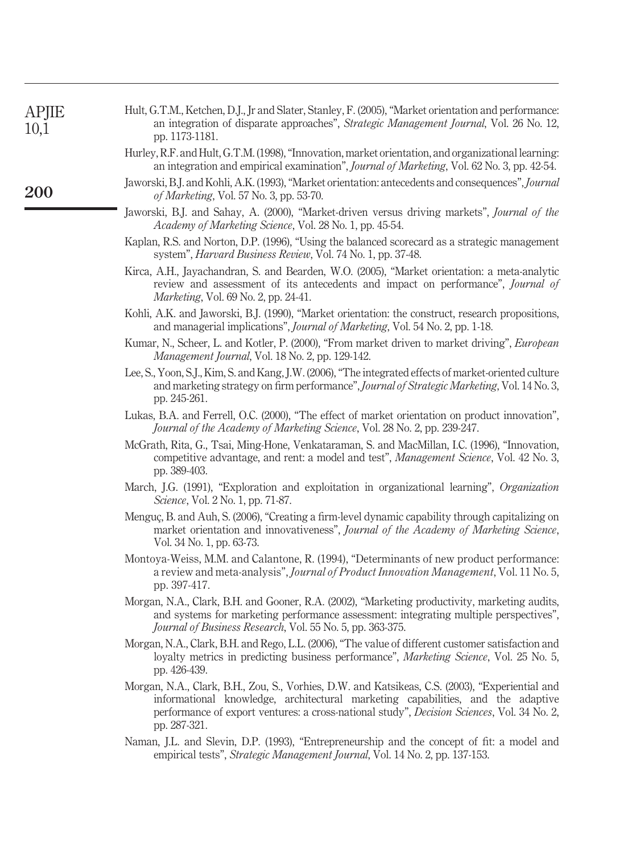<span id="page-17-17"></span><span id="page-17-16"></span><span id="page-17-15"></span><span id="page-17-14"></span><span id="page-17-13"></span><span id="page-17-12"></span><span id="page-17-11"></span><span id="page-17-10"></span><span id="page-17-9"></span><span id="page-17-8"></span><span id="page-17-7"></span><span id="page-17-6"></span><span id="page-17-5"></span><span id="page-17-4"></span><span id="page-17-3"></span><span id="page-17-2"></span><span id="page-17-1"></span><span id="page-17-0"></span>

| <b>APJIE</b><br>10,1 | Hult, G.T.M., Ketchen, D.J., Jr and Slater, Stanley, F. (2005), "Market orientation and performance:<br>an integration of disparate approaches", Strategic Management Journal, Vol. 26 No. 12,<br>pp. 1173-1181.                                                                                 |
|----------------------|--------------------------------------------------------------------------------------------------------------------------------------------------------------------------------------------------------------------------------------------------------------------------------------------------|
|                      | Hurley, R.F. and Hult, G.T.M. (1998), "Innovation, market orientation, and organizational learning:<br>an integration and empirical examination", <i>Journal of Marketing</i> , Vol. 62 No. 3, pp. 42-54.                                                                                        |
| <b>200</b>           | Jaworski, B.J. and Kohli, A.K. (1993), "Market orientation: antecedents and consequences", Journal<br>of Marketing, Vol. 57 No. 3, pp. 53-70.                                                                                                                                                    |
|                      | Jaworski, B.J. and Sahay, A. (2000), "Market-driven versus driving markets", Journal of the<br>Academy of Marketing Science, Vol. 28 No. 1, pp. 45-54.                                                                                                                                           |
|                      | Kaplan, R.S. and Norton, D.P. (1996), "Using the balanced scorecard as a strategic management<br>system", <i>Harvard Business Review</i> , Vol. 74 No. 1, pp. 37-48.                                                                                                                             |
|                      | Kirca, A.H., Jayachandran, S. and Bearden, W.O. (2005), "Market orientation: a meta-analytic<br>review and assessment of its antecedents and impact on performance", Journal of<br><i>Marketing</i> , Vol. 69 No. 2, pp. 24-41.                                                                  |
|                      | Kohli, A.K. and Jaworski, B.J. (1990), "Market orientation: the construct, research propositions,<br>and managerial implications", <i>Journal of Marketing</i> , Vol. 54 No. 2, pp. 1-18.                                                                                                        |
|                      | Kumar, N., Scheer, L. and Kotler, P. (2000), "From market driven to market driving", European<br><i>Management Journal</i> , Vol. 18 No. 2, pp. 129-142.                                                                                                                                         |
|                      | Lee, S., Yoon, S.J., Kim, S. and Kang, J.W. (2006), "The integrated effects of market-oriented culture<br>and marketing strategy on firm performance", Journal of Strategic Marketing, Vol. 14 No. 3,<br>pp. 245-261.                                                                            |
|                      | Lukas, B.A. and Ferrell, O.C. (2000), "The effect of market orientation on product innovation",<br>Journal of the Academy of Marketing Science, Vol. 28 No. 2, pp. 239-247.                                                                                                                      |
|                      | McGrath, Rita, G., Tsai, Ming-Hone, Venkataraman, S. and MacMillan, I.C. (1996), "Innovation,<br>competitive advantage, and rent: a model and test", <i>Management Science</i> , Vol. 42 No. 3,<br>pp. 389-403.                                                                                  |
|                      | March, J.G. (1991), "Exploration and exploitation in organizational learning", Organization<br>Science, Vol. 2 No. 1, pp. 71-87.                                                                                                                                                                 |
|                      | Menguç, B. and Auh, S. (2006), "Creating a firm-level dynamic capability through capitalizing on<br>market orientation and innovativeness", Journal of the Academy of Marketing Science,<br>Vol. 34 No. 1, pp. 63-73.                                                                            |
|                      | Montoya-Weiss, M.M. and Calantone, R. (1994), "Determinants of new product performance:<br>a review and meta-analysis", Journal of Product Innovation Management, Vol. 11 No. 5,<br>pp. 397-417.                                                                                                 |
|                      | Morgan, N.A., Clark, B.H. and Gooner, R.A. (2002), "Marketing productivity, marketing audits,<br>and systems for marketing performance assessment: integrating multiple perspectives",<br>Journal of Business Research, Vol. 55 No. 5, pp. 363-375.                                              |
|                      | Morgan, N.A., Clark, B.H. and Rego, L.L. (2006), "The value of different customer satisfaction and<br>loyalty metrics in predicting business performance", Marketing Science, Vol. 25 No. 5,<br>pp. 426-439.                                                                                     |
|                      | Morgan, N.A., Clark, B.H., Zou, S., Vorhies, D.W. and Katsikeas, C.S. (2003), "Experiential and<br>informational knowledge, architectural marketing capabilities, and the adaptive<br>performance of export ventures: a cross-national study", Decision Sciences, Vol. 34 No. 2,<br>pp. 287-321. |
|                      | Naman, J.L. and Slevin, D.P. (1993), "Entrepreneurship and the concept of fit: a model and<br>empirical tests", Strategic Management Journal, Vol. 14 No. 2, pp. 137-153.                                                                                                                        |
|                      |                                                                                                                                                                                                                                                                                                  |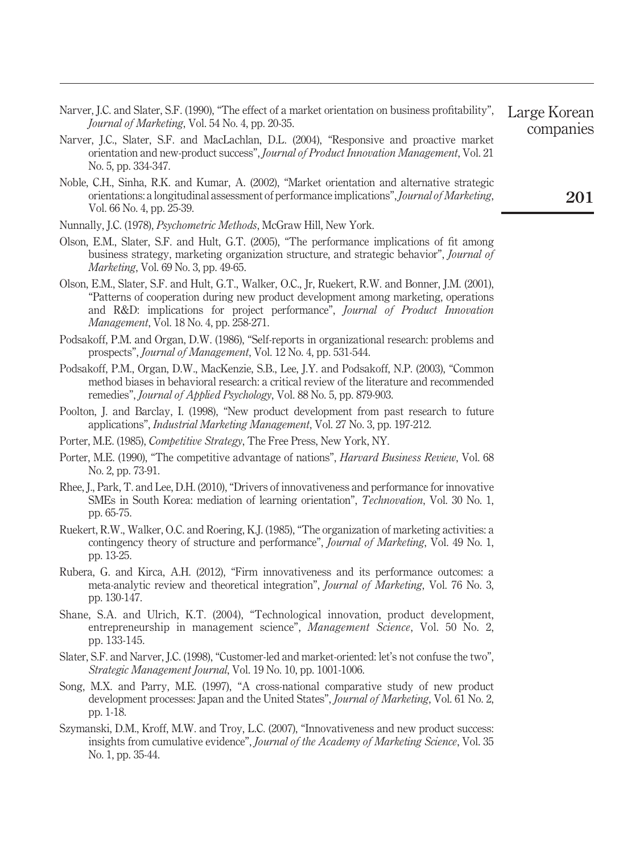- <span id="page-18-4"></span>Narver, J.C. and Slater, S.F. (1990), "The effect of a market orientation on business profitability", *Journal of Marketing*, Vol. 54 No. 4, pp. 20-35.
- <span id="page-18-17"></span>Narver, J.C., Slater, S.F. and MacLachlan, D.L. (2004), "Responsive and proactive market orientation and new-product success", *Journal of Product Innovation Management*, Vol. 21 No. 5, pp. 334-347.
- <span id="page-18-2"></span>Noble, C.H., Sinha, R.K. and Kumar, A. (2002), "Market orientation and alternative strategic orientations: a longitudinal assessment of performance implications",*Journal of Marketing*, Vol. 66 No. 4, pp. 25-39.
- <span id="page-18-16"></span>Nunnally, J.C. (1978), *Psychometric Methods*, McGraw Hill, New York.
- <span id="page-18-5"></span>Olson, E.M., Slater, S.F. and Hult, G.T. (2005), "The performance implications of fit among business strategy, marketing organization structure, and strategic behavior", *Journal of Marketing*, Vol. 69 No. 3, pp. 49-65.
- <span id="page-18-13"></span>Olson, E.M., Slater, S.F. and Hult, G.T., Walker, O.C., Jr, Ruekert, R.W. and Bonner, J.M. (2001), "Patterns of cooperation during new product development among marketing, operations and R&D: implications for project performance", *Journal of Product Innovation Management*, Vol. 18 No. 4, pp. 258-271.
- <span id="page-18-14"></span>Podsakoff, P.M. and Organ, D.W. (1986), "Self-reports in organizational research: problems and prospects", *Journal of Management*, Vol. 12 No. 4, pp. 531-544.
- <span id="page-18-15"></span>Podsakoff, P.M., Organ, D.W., MacKenzie, S.B., Lee, J.Y. and Podsakoff, N.P. (2003), "Common method biases in behavioral research: a critical review of the literature and recommended remedies", *Journal of Applied Psychology*, Vol. 88 No. 5, pp. 879-903.
- <span id="page-18-12"></span>Poolton, J. and Barclay, I. (1998), "New product development from past research to future applications", *Industrial Marketing Management*, Vol. 27 No. 3, pp. 197-212.
- <span id="page-18-6"></span>Porter, M.E. (1985), *Competitive Strategy*, The Free Press, New York, NY.
- <span id="page-18-11"></span>Porter, M.E. (1990), "The competitive advantage of nations", *Harvard Business Review*, Vol. 68 No. 2, pp. 73-91.
- <span id="page-18-3"></span>Rhee, J., Park, T. and Lee, D.H. (2010), "Drivers of innovativeness and performance for innovative SMEs in South Korea: mediation of learning orientation", *Technovation*, Vol. 30 No. 1, pp. 65-75.
- <span id="page-18-10"></span>Ruekert, R.W., Walker, O.C. and Roering, K.J. (1985), "The organization of marketing activities: a contingency theory of structure and performance", *Journal of Marketing*, Vol. 49 No. 1, pp. 13-25.
- <span id="page-18-0"></span>Rubera, G. and Kirca, A.H. (2012), "Firm innovativeness and its performance outcomes: a meta-analytic review and theoretical integration", *Journal of Marketing*, Vol. 76 No. 3, pp. 130-147.
- <span id="page-18-1"></span>Shane, S.A. and Ulrich, K.T. (2004), "Technological innovation, product development, entrepreneurship in management science", *Management Science*, Vol. 50 No. 2, pp. 133-145.
- <span id="page-18-7"></span>Slater, S.F. and Narver, J.C. (1998), "Customer-led and market-oriented: let's not confuse the two", *Strategic Management Journal*, Vol. 19 No. 10, pp. 1001-1006.
- <span id="page-18-9"></span>Song, M.X. and Parry, M.E. (1997), "A cross-national comparative study of new product development processes: Japan and the United States", *Journal of Marketing*, Vol. 61 No. 2, pp. 1-18.
- <span id="page-18-8"></span>Szymanski, D.M., Kroff, M.W. and Troy, L.C. (2007), "Innovativeness and new product success: insights from cumulative evidence", *Journal of the Academy of Marketing Science*, Vol. 35 No. 1, pp. 35-44.

**201**

Large Korean companies